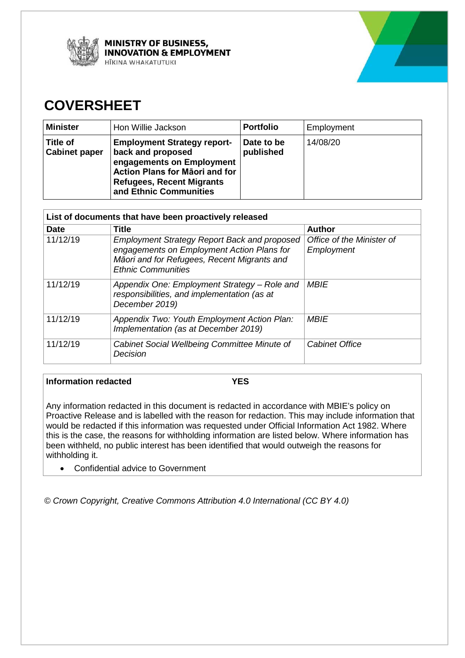



# **COVERSHEET**

| <b>Minister</b>                         | Hon Willie Jackson                                                                                                                                                                          | <b>Portfolio</b>        | Employment |
|-----------------------------------------|---------------------------------------------------------------------------------------------------------------------------------------------------------------------------------------------|-------------------------|------------|
| <b>Title of</b><br><b>Cabinet paper</b> | <b>Employment Strategy report-</b><br>back and proposed<br>engagements on Employment<br><b>Action Plans for Maori and for</b><br><b>Refugees, Recent Migrants</b><br>and Ethnic Communities | Date to be<br>published | 14/08/20   |

| List of documents that have been proactively released |                                                                                                                                                                               |                                         |  |
|-------------------------------------------------------|-------------------------------------------------------------------------------------------------------------------------------------------------------------------------------|-----------------------------------------|--|
| <b>Date</b>                                           | Title                                                                                                                                                                         | <b>Author</b>                           |  |
| 11/12/19                                              | <b>Employment Strategy Report Back and proposed</b><br>engagements on Employment Action Plans for<br>Māori and for Refugees, Recent Migrants and<br><b>Ethnic Communities</b> | Office of the Minister of<br>Employment |  |
| 11/12/19                                              | Appendix One: Employment Strategy – Role and<br>responsibilities, and implementation (as at<br>December 2019)                                                                 | <b>MBIE</b>                             |  |
| 11/12/19                                              | Appendix Two: Youth Employment Action Plan:<br>Implementation (as at December 2019)                                                                                           | <b>MBIE</b>                             |  |
| 11/12/19                                              | Cabinet Social Wellbeing Committee Minute of<br>Decision                                                                                                                      | <b>Cabinet Office</b>                   |  |

## **Information redacted YES**

 would be redacted if this information was requested under Official Information Act 1982. Where been withheld, no public interest has been identified that would outweigh the reasons for Any information redacted in this document is redacted in accordance with MBIE's policy on Proactive Release and is labelled with the reason for redaction. This may include information that this is the case, the reasons for withholding information are listed below. Where information has withholding it.

• Confidential advice to Government

*© Crown Copyright, Creative Commons Attribution 4.0 International (CC BY 4.0)*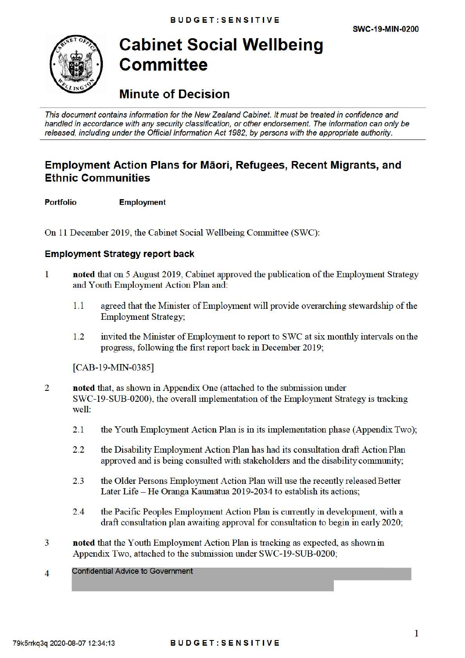

# **Cabinet Social Wellbeing Committee**

# **Minute of Decision**

This document contains information for the New Zealand Cabinet. It must be treated in confidence and handled in accordance with any security classification, or other endorsement. The information can only be released, including under the Official Information Act 1982, by persons with the appropriate authority.

## **Employment Action Plans for Maori, Refugees, Recent Migrants, and Ethnic Communities**

**Portfolio Employment** 

On 11 December 2019, the Cabinet Social Wellbeing Committee (SWC):

## **Employment Strategy report back**

- 1 **noted** that on 5 August 2019, Cabinet approved the publication of the Employment Strategy and Youth Employment Action Plan and:
	- 1.1 agreed that the Minister of Employment will provide overarching stewardship of the Employment Strategy;
	- 1.2 invited the Minister of Employment to report to SWC at six monthly intervals on the progress, following the first report back in December 2019;

[CAB-19-MIN-0385]

- 2 **noted** that, as shown in Appendix One (attached to the submission under SWC-19-SUB-0200), the overall implementation of the Employment Strategy is tracking well:
	- 2.1 the Youth Employment Action Plan is in its implementation phase (Appendix Two);
	- 2.2 the Disability Employment Action Plan has had its consultation draft Action Plan approved and is being consulted with stakeholders and the disability community;
	- 2.3 the Older Persons Employment Action Plan will use the recently released Better Later Life - He Oranga Kaumātua 2019-2034 to establish its actions;
	- 2.4 the Pacific Peoples Employment Action Plan is cunently in development, with a draft consultation plan awaiting approval for consultation to begin in early 2020;
- 3 **noted** that the Youth Employment Action Plan is tracking as expected, as shown in Appendix Two, attached to the submission under SWC-19-SUB-0200;

#### 4 Confidential Advice to Government

## 79k5rrkq3q 2020-08-07 12:34:13 **BUDGET:SENSITIVE**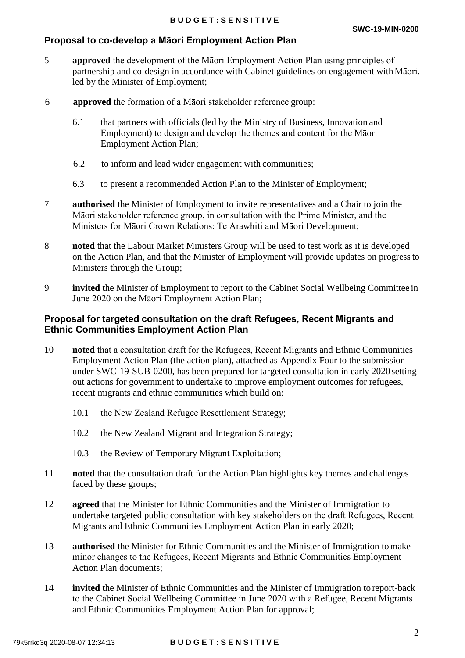## **Proposal to co-develop a Māori Employment Action Plan**

- 5 **approved** the development of the Māori Employment Action Plan using principles of partnership and co-design in accordance with Cabinet guidelines on engagement with Māori, led by the Minister of Employment;
- 6 **approved** the formation of a Māori stakeholder reference group:
	- Employment Action Plan; 6.1 that partners with officials (led by the Ministry of Business, Innovation and Employment) to design and develop the themes and content for the Māori
	- 6.2 to inform and lead wider engagement with communities;
	- 6.3 to present a recommended Action Plan to the Minister of Employment;
- Māori stakeholder reference group, in consultation with the Prime Minister, and the 7 **authorised** the Minister of Employment to invite representatives and a Chair to join the Ministers for Māori Crown Relations: Te Arawhiti and Māori Development;
- 8 **noted** that the Labour Market Ministers Group will be used to test work as it is developed on the Action Plan, and that the Minister of Employment will provide updates on progress to Ministers through the Group;
- June 2020 on the Māori Employment Action Plan; 9 **invited** the Minister of Employment to report to the Cabinet Social Wellbeing Committee in

## **Proposal for targeted consultation on the draft Refugees, Recent Migrants and Ethnic Communities Employment Action Plan**

- 10 **noted** that a consultation draft for the Refugees, Recent Migrants and Ethnic Communities Employment Action Plan (the action plan), attached as Appendix Four to the submission under SWC-19-SUB-0200, has been prepared for targeted consultation in early 2020 setting out actions for government to undertake to improve employment outcomes for refugees, recent migrants and ethnic communities which build on:
	- 10.1 the New Zealand Refugee Resettlement Strategy;
	- 10.2 the New Zealand Migrant and Integration Strategy;
	- 10.3 the Review of Temporary Migrant Exploitation;
- 11 **noted** that the consultation draft for the Action Plan highlights key themes and challenges faced by these groups;
- 12 **agreed** that the Minister for Ethnic Communities and the Minister of Immigration to undertake targeted public consultation with key stakeholders on the draft Refugees, Recent Migrants and Ethnic Communities Employment Action Plan in early 2020;
- 13 **authorised** the Minister for Ethnic Communities and the Minister of Immigration to make minor changes to the Refugees, Recent Migrants and Ethnic Communities Employment Action Plan documents;
- 14 **invited** the Minister of Ethnic Communities and the Minister of Immigration to report-back to the Cabinet Social Wellbeing Committee in June 2020 with a Refugee, Recent Migrants and Ethnic Communities Employment Action Plan for approval;